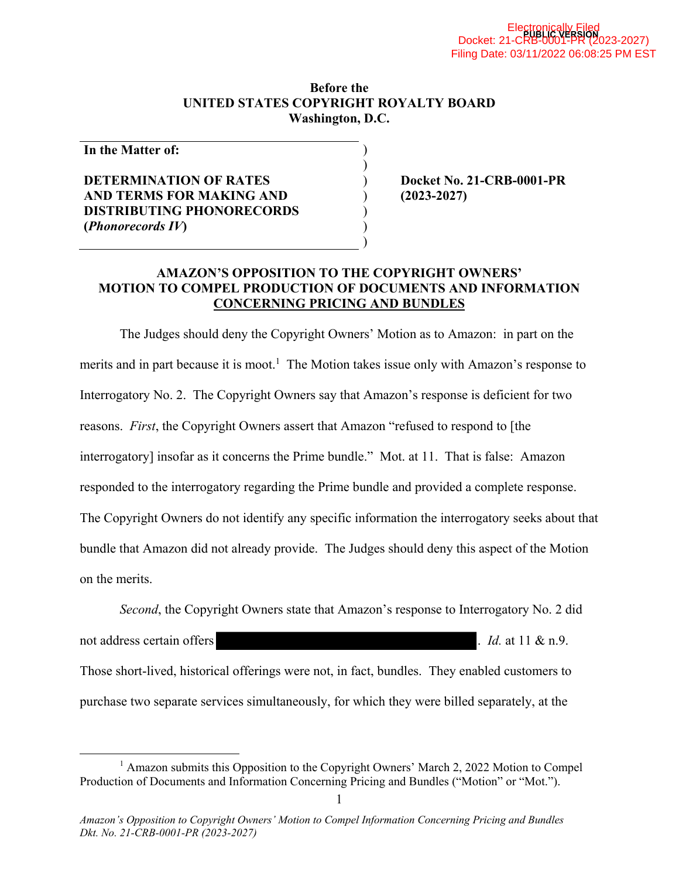#### **Before the UNITED STATES COPYRIGHT ROYALTY BOARD Washington, D.C.**

) )

) ) )

**In the Matter of:** 

#### **DETERMINATION OF RATES AND TERMS FOR MAKING AND DISTRIBUTING PHONORECORDS (***Phonorecords IV***)**

) **Docket No. 21-CRB-0001-PR**  ) **(2023-2027)** 

#### **AMAZON'S OPPOSITION TO THE COPYRIGHT OWNERS' MOTION TO COMPEL PRODUCTION OF DOCUMENTS AND INFORMATION CONCERNING PRICING AND BUNDLES**

The Judges should deny the Copyright Owners' Motion as to Amazon: in part on the merits and in part because it is moot.<sup>1</sup> The Motion takes issue only with Amazon's response to Interrogatory No. 2. The Copyright Owners say that Amazon's response is deficient for two reasons. *First*, the Copyright Owners assert that Amazon "refused to respond to [the interrogatory] insofar as it concerns the Prime bundle." Mot. at 11. That is false: Amazon responded to the interrogatory regarding the Prime bundle and provided a complete response. The Copyright Owners do not identify any specific information the interrogatory seeks about that bundle that Amazon did not already provide. The Judges should deny this aspect of the Motion on the merits.

*Second*, the Copyright Owners state that Amazon's response to Interrogatory No. 2 did

not address certain offers **.** *Id.* at 11 & n.9.

Those short-lived, historical offerings were not, in fact, bundles. They enabled customers to purchase two separate services simultaneously, for which they were billed separately, at the

<sup>&</sup>lt;sup>1</sup> Amazon submits this Opposition to the Copyright Owners' March 2, 2022 Motion to Compel Production of Documents and Information Concerning Pricing and Bundles ("Motion" or "Mot.").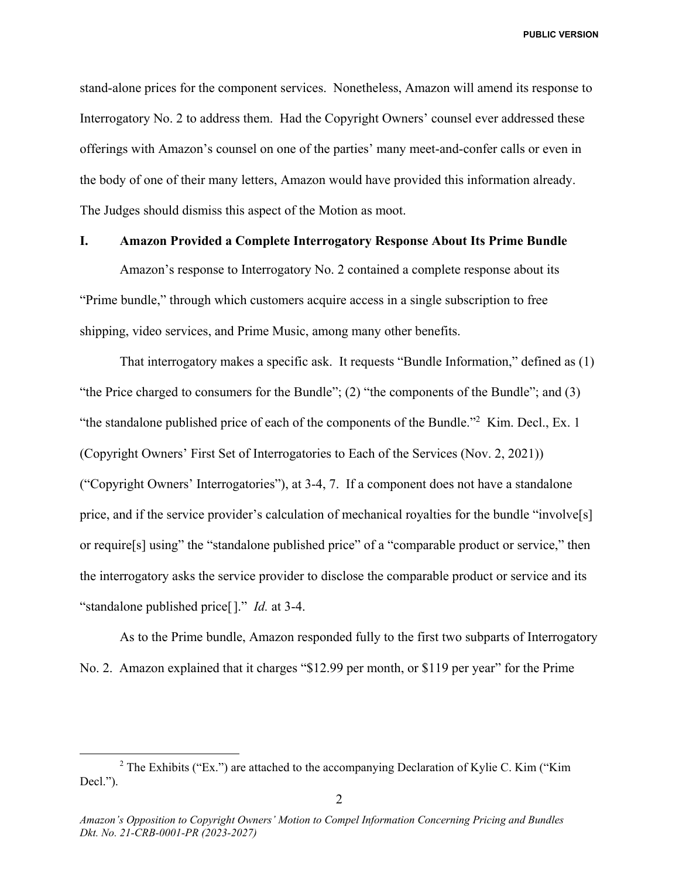stand-alone prices for the component services. Nonetheless, Amazon will amend its response to Interrogatory No. 2 to address them. Had the Copyright Owners' counsel ever addressed these offerings with Amazon's counsel on one of the parties' many meet-and-confer calls or even in the body of one of their many letters, Amazon would have provided this information already. The Judges should dismiss this aspect of the Motion as moot.

#### **I. Amazon Provided a Complete Interrogatory Response About Its Prime Bundle**

Amazon's response to Interrogatory No. 2 contained a complete response about its "Prime bundle," through which customers acquire access in a single subscription to free shipping, video services, and Prime Music, among many other benefits.

That interrogatory makes a specific ask. It requests "Bundle Information," defined as (1) "the Price charged to consumers for the Bundle"; (2) "the components of the Bundle"; and (3) "the standalone published price of each of the components of the Bundle."<sup>2</sup> Kim. Decl., Ex. 1 (Copyright Owners' First Set of Interrogatories to Each of the Services (Nov. 2, 2021)) ("Copyright Owners' Interrogatories"), at 3-4, 7. If a component does not have a standalone price, and if the service provider's calculation of mechanical royalties for the bundle "involve[s] or require[s] using" the "standalone published price" of a "comparable product or service," then the interrogatory asks the service provider to disclose the comparable product or service and its "standalone published price[]." *Id.* at 3-4.

As to the Prime bundle, Amazon responded fully to the first two subparts of Interrogatory No. 2. Amazon explained that it charges "\$12.99 per month, or \$119 per year" for the Prime

<sup>&</sup>lt;sup>2</sup> The Exhibits ("Ex.") are attached to the accompanying Declaration of Kylie C. Kim ("Kim Decl.").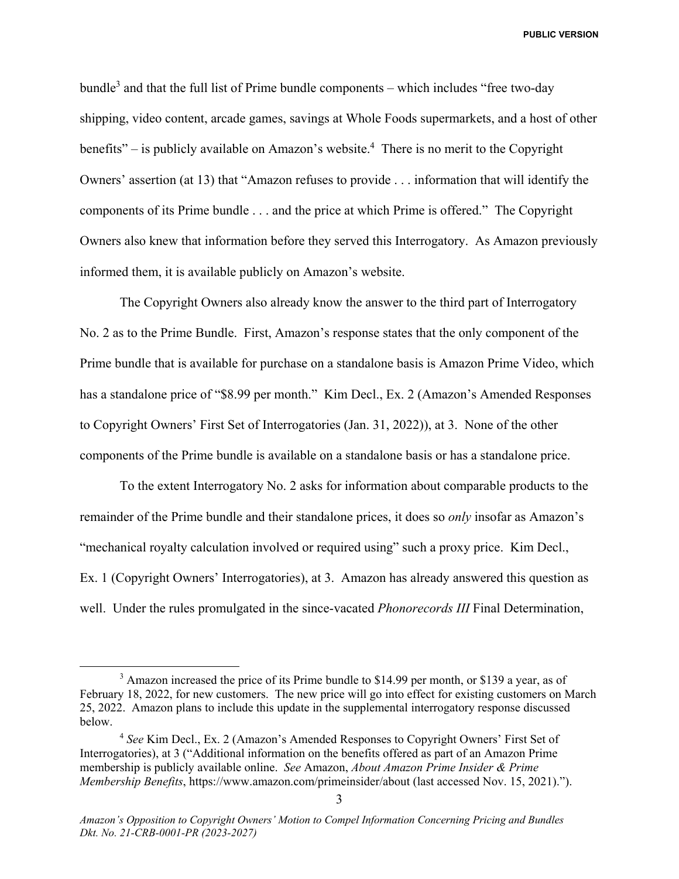bundle<sup>3</sup> and that the full list of Prime bundle components – which includes "free two-day shipping, video content, arcade games, savings at Whole Foods supermarkets, and a host of other benefits" – is publicly available on Amazon's website.<sup>4</sup> There is no merit to the Copyright Owners' assertion (at 13) that "Amazon refuses to provide . . . information that will identify the components of its Prime bundle . . . and the price at which Prime is offered." The Copyright Owners also knew that information before they served this Interrogatory. As Amazon previously informed them, it is available publicly on Amazon's website.

The Copyright Owners also already know the answer to the third part of Interrogatory No. 2 as to the Prime Bundle. First, Amazon's response states that the only component of the Prime bundle that is available for purchase on a standalone basis is Amazon Prime Video, which has a standalone price of "\$8.99 per month." Kim Decl., Ex. 2 (Amazon's Amended Responses to Copyright Owners' First Set of Interrogatories (Jan. 31, 2022)), at 3. None of the other components of the Prime bundle is available on a standalone basis or has a standalone price.

To the extent Interrogatory No. 2 asks for information about comparable products to the remainder of the Prime bundle and their standalone prices, it does so *only* insofar as Amazon's "mechanical royalty calculation involved or required using" such a proxy price. Kim Decl., Ex. 1 (Copyright Owners' Interrogatories), at 3. Amazon has already answered this question as well. Under the rules promulgated in the since-vacated *Phonorecords III* Final Determination,

 $\frac{1}{3}$  $3$  Amazon increased the price of its Prime bundle to \$14.99 per month, or \$139 a year, as of February 18, 2022, for new customers. The new price will go into effect for existing customers on March 25, 2022. Amazon plans to include this update in the supplemental interrogatory response discussed below.

<sup>4</sup> *See* Kim Decl., Ex. 2 (Amazon's Amended Responses to Copyright Owners' First Set of Interrogatories), at 3 ("Additional information on the benefits offered as part of an Amazon Prime membership is publicly available online. *See* Amazon, *About Amazon Prime Insider & Prime Membership Benefits*, https://www.amazon.com/primeinsider/about (last accessed Nov. 15, 2021).").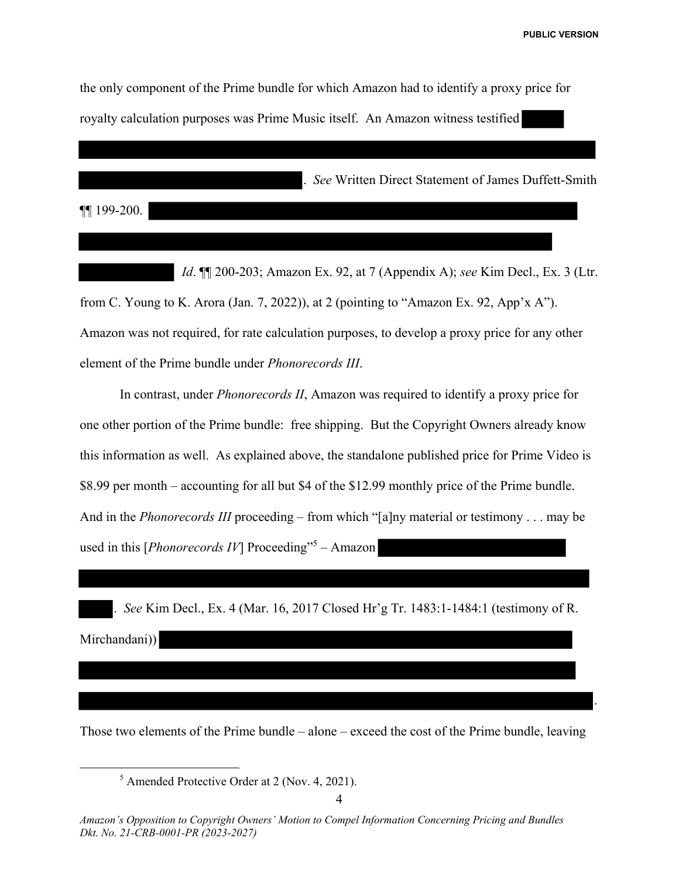.

the only component of the Prime bundle for which Amazon had to identify a proxy price for<br>royalty calculation purposes was Prime Music itself. An Amazon witness testified royalty calculation purposes was Prime Music itself. An Amazon witness testified

. *See* Written Direct Statement of James Duffett-Smith

¶¶ 199-200.

 *Id*. ¶¶ 200-203; Amazon Ex. 92, at 7 (Appendix A); *see* Kim Decl., Ex. 3 (Ltr. from C. Young to K. Arora (Jan. 7, 2022)), at 2 (pointing to "Amazon Ex. 92, App'x A"). Amazon was not required, for rate calculation purposes, to develop a proxy price for any other element of the Prime bundle under *Phonorecords III*.

 In contrast, under *Phonorecords II*, Amazon was required to identify a proxy price for one other portion of the Prime bundle: free shipping. But the Copyright Owners already know this information as well. As explained above, the standalone published price for Prime Video is \$8.99 per month – accounting for all but \$4 of the \$12.99 monthly price of the Prime bundle. And in the *Phonorecords III* proceeding – from which "[a]ny material or testimony . . . may be used in this [*Phonorecords IV*] Proceeding"<sup>5</sup> – Amazon

. *See* Kim Decl., Ex. 4 (Mar. 16, 2017 Closed Hr'g Tr. 1483:1-1484:1 (testimony of R.

. See Ki<br/>  $\label{eq:1} \begin{split} \textbf{Micro} & \cdot \textbf{1} \end{split}$ 

Those two elements of the Prime bundle – alone – exceed the cost of the Prime bundle, leaving

 $rac{1}{5}$  $<sup>5</sup>$  Amended Protective Order at 2 (Nov. 4, 2021).</sup>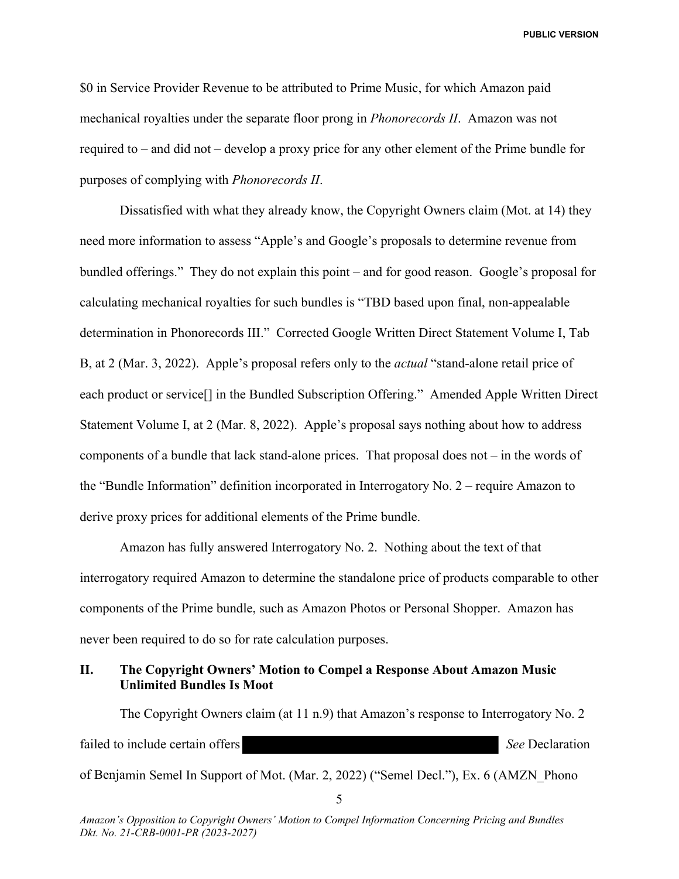\$0 in Service Provider Revenue to be attributed to Prime Music, for which Amazon paid mechanical royalties under the separate floor prong in *Phonorecords II*. Amazon was not required to – and did not – develop a proxy price for any other element of the Prime bundle for purposes of complying with *Phonorecords II*.

 Dissatisfied with what they already know, the Copyright Owners claim (Mot. at 14) they need more information to assess "Apple's and Google's proposals to determine revenue from bundled offerings." They do not explain this point – and for good reason. Google's proposal for calculating mechanical royalties for such bundles is "TBD based upon final, non-appealable determination in Phonorecords III." Corrected Google Written Direct Statement Volume I, Tab B, at 2 (Mar. 3, 2022). Apple's proposal refers only to the *actual* "stand-alone retail price of each product or service[] in the Bundled Subscription Offering." Amended Apple Written Direct Statement Volume I, at 2 (Mar. 8, 2022). Apple's proposal says nothing about how to address components of a bundle that lack stand-alone prices. That proposal does not – in the words of the "Bundle Information" definition incorporated in Interrogatory No. 2 – require Amazon to derive proxy prices for additional elements of the Prime bundle.

 Amazon has fully answered Interrogatory No. 2. Nothing about the text of that interrogatory required Amazon to determine the standalone price of products comparable to other components of the Prime bundle, such as Amazon Photos or Personal Shopper. Amazon has never been required to do so for rate calculation purposes.

#### **II. The Copyright Owners' Motion to Compel a Response About Amazon Music Unlimited Bundles Is Moot**

The Copyright Owners claim (at 11 n.9) that Amazon's response to Interrogatory No. 2 failed to include certain offers **See** Declaration **See** Declaration of Benjamin Semel In Support of Mot. (Mar. 2, 2022) ("Semel Decl."), Ex. 6 (AMZN\_Phono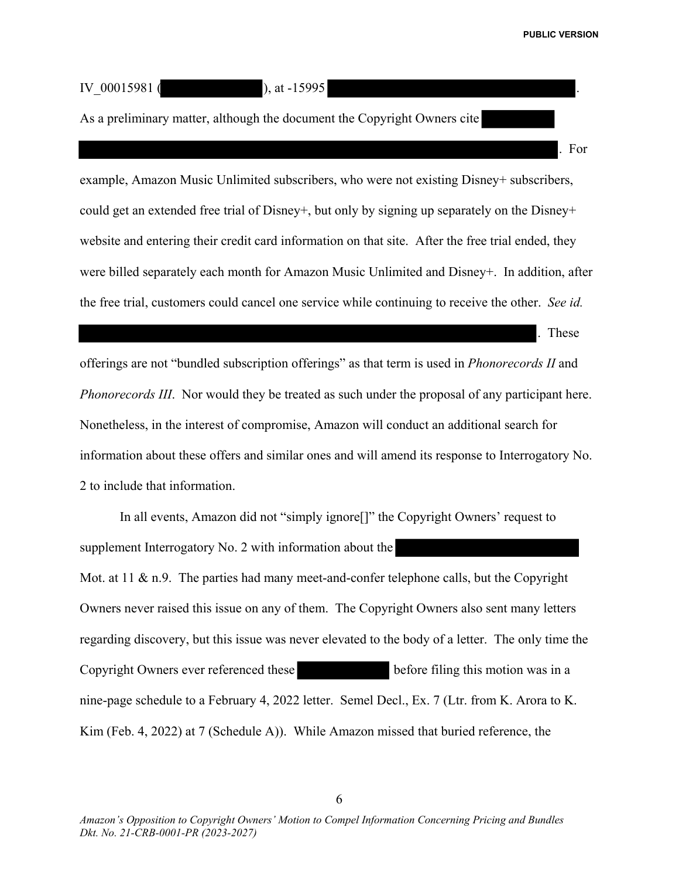. For

IV  $00015981$  ( ), at -15995

As a preliminary matter, although the document the Copyright Owners cite

example, Amazon Music Unlimited subscribers, who were not existing Disney+ subscribers, could get an extended free trial of Disney+, but only by signing up separately on the Disney+ website and entering their credit card information on that site. After the free trial ended, they were billed separately each month for Amazon Music Unlimited and Disney+. In addition, after the free trial, customers could cancel one service while continuing to receive the other. *See id.* 

. These

offerings are not "bundled subscription offerings" as that term is used in *Phonorecords II* and *Phonorecords III*. Nor would they be treated as such under the proposal of any participant here. Nonetheless, in the interest of compromise, Amazon will conduct an additional search for information about these offers and similar ones and will amend its response to Interrogatory No. 2 to include that information.

In all events, Amazon did not "simply ignore[]" the Copyright Owners' request to supplement Interrogatory No. 2 with information about the Mot. at  $11 \& n.9$ . The parties had many meet-and-confer telephone calls, but the Copyright Owners never raised this issue on any of them. The Copyright Owners also sent many letters regarding discovery, but this issue was never elevated to the body of a letter. The only time the Copyright Owners ever referenced these before filing this motion was in a nine-page schedule to a February 4, 2022 letter. Semel Decl., Ex. 7 (Ltr. from K. Arora to K. Kim (Feb. 4, 2022) at 7 (Schedule A)). While Amazon missed that buried reference, the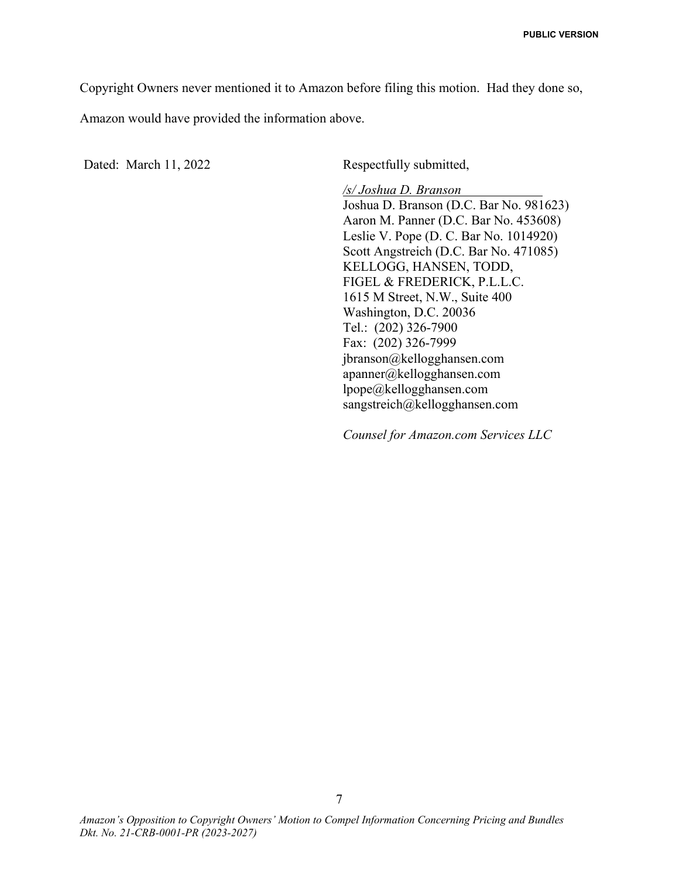Copyright Owners never mentioned it to Amazon before filing this motion. Had they done so,

Amazon would have provided the information above.

Dated: March 11, 2022 Respectfully submitted,

*/s/ Joshua D. Branson* Joshua D. Branson (D.C. Bar No. 981623) Aaron M. Panner (D.C. Bar No. 453608) Leslie V. Pope (D. C. Bar No. 1014920) Scott Angstreich (D.C. Bar No. 471085) KELLOGG, HANSEN, TODD, FIGEL & FREDERICK, P.L.L.C. 1615 M Street, N.W., Suite 400 Washington, D.C. 20036 Tel.: (202) 326-7900 Fax: (202) 326-7999 jbranson@kellogghansen.com apanner@kellogghansen.com lpope@kellogghansen.com sangstreich@kellogghansen.com

*Counsel for Amazon.com Services LLC*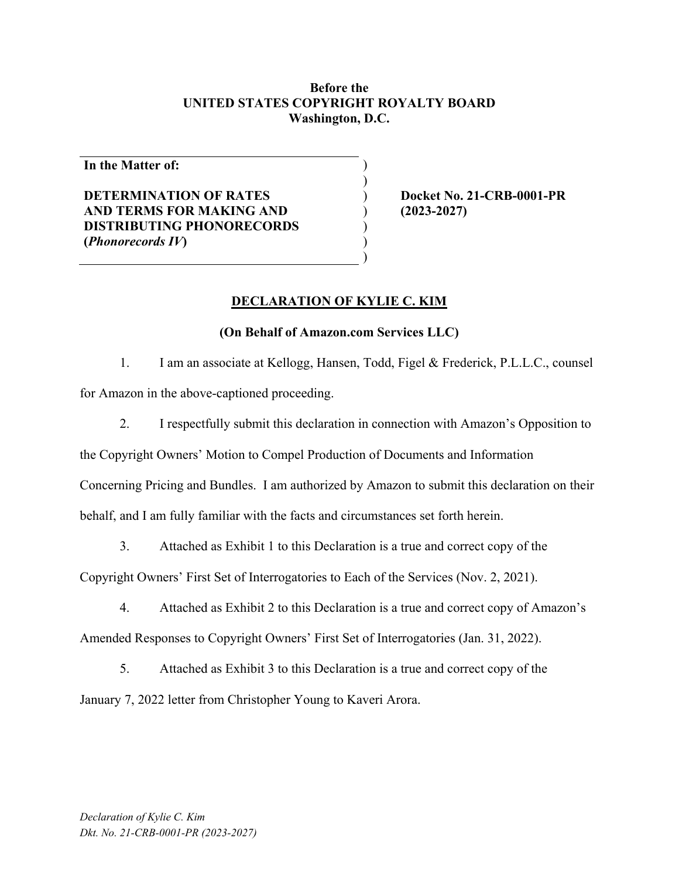#### **Before the UNITED STATES COPYRIGHT ROYALTY BOARD Washington, D.C.**

) )

> ) ) )

**In the Matter of:** 

#### **DETERMINATION OF RATES AND TERMS FOR MAKING AND DISTRIBUTING PHONORECORDS (***Phonorecords IV***)**

) **Docket No. 21-CRB-0001-PR**  ) **(2023-2027)** 

#### **DECLARATION OF KYLIE C. KIM**

#### **(On Behalf of Amazon.com Services LLC)**

1. I am an associate at Kellogg, Hansen, Todd, Figel & Frederick, P.L.L.C., counsel

for Amazon in the above-captioned proceeding.

2. I respectfully submit this declaration in connection with Amazon's Opposition to

the Copyright Owners' Motion to Compel Production of Documents and Information

Concerning Pricing and Bundles. I am authorized by Amazon to submit this declaration on their

behalf, and I am fully familiar with the facts and circumstances set forth herein.

3. Attached as Exhibit 1 to this Declaration is a true and correct copy of the

Copyright Owners' First Set of Interrogatories to Each of the Services (Nov. 2, 2021).

4. Attached as Exhibit 2 to this Declaration is a true and correct copy of Amazon's Amended Responses to Copyright Owners' First Set of Interrogatories (Jan. 31, 2022).

5. Attached as Exhibit 3 to this Declaration is a true and correct copy of the January 7, 2022 letter from Christopher Young to Kaveri Arora.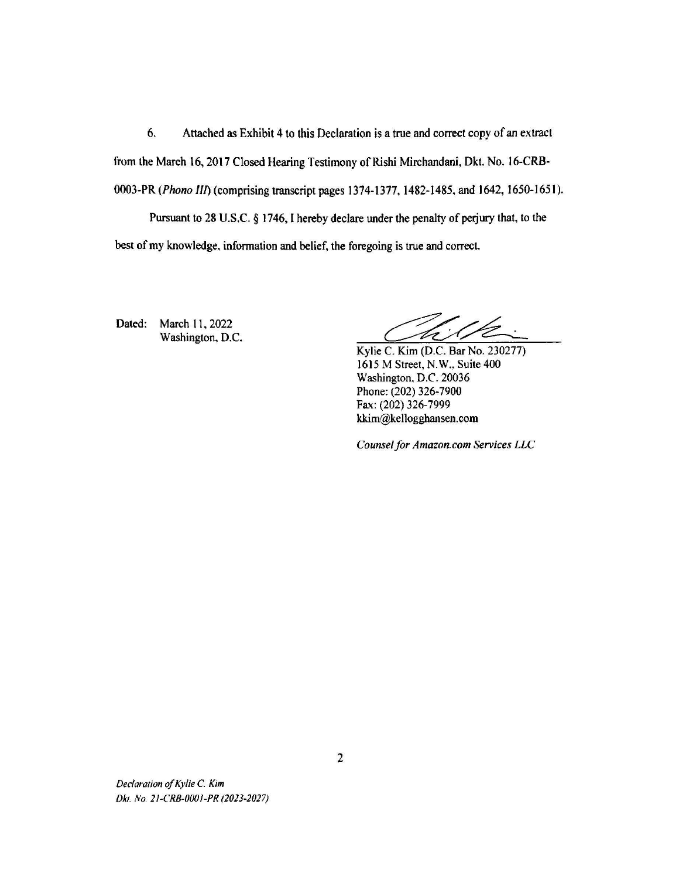6. Attached as Exhibit 4 to this Declaration is a true and correct copy of an extract from the March 16, 2017 Closed Hearing Testimony of Rishi Mirchandani, Dkt. No. 16-CRB-0003-PR *(Phono Ill)* (comprising transcript pages 1374-1377. 1482-1485, and 1642, 1650-1651). Pursuant to 28 U.S.C. § 1746, I hereby declare under the penalty of perjury that, to the best of my knowledge, information and belief, the foregoing is true and correct.

Dated: March 11, 2022 Washington, D.C.

Kylie C. Kim (D.C. Bar No. 230277) 1615 M Street, N.W., Suite 400 Washington, D.C. 20036 Phone: (202) 326-7900 Fax: (202) 326-7999 kkim@kellogghansen.com

*Counsel for Amazon.com Services LLC*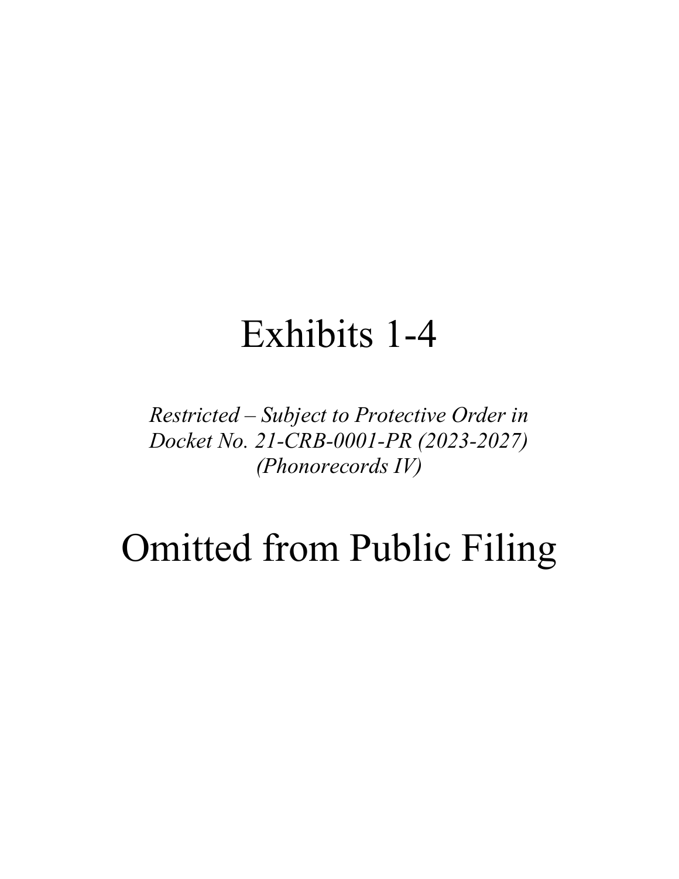## Exhibits 1-4

*Restricted – Subject to Protective Order in Docket No. 21-CRB-0001-PR (2023-2027) (Phonorecords IV)* 

# Omitted from Public Filing